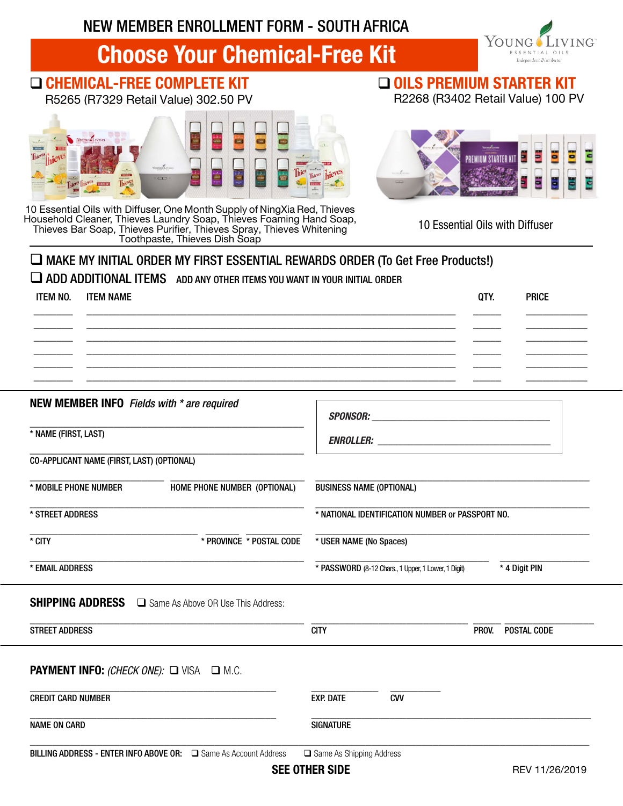NEW MEMBER ENROLLMENT FORM - SOUTH AFRICA

# Choose Your Chemical-Free Kit

## □ CHEMICAL-FREE COMPLETE KIT

R5265 (R7329 Retail Value) 302.50 PV



10 Essential Oils with Diffuser, One Month Supply of NingXia Red, Thieves Household Cleaner, Thieves Laundry Soap, Thieves Foaming Hand Soap, Thieves Bar Soap, Thieves Purifier, Thieves Spray, Thieves Whitening Toothpaste, Thieves Dish Soap

OILS PREMIUM STARTER KIT

R2268 (R3402 Retail Value) 100 PV

YOUNG

**VING** 



10 Essential Oils with Diffuser

#### $\Box$  MAKE MY INITIAL ORDER MY FIRST ESSENTIAL REWARDS ORDER (To Get Free Products!)

#### ADD ADDITIONAL ITEMS ADD ANY OTHER ITEMS YOU WANT IN YOUR INITIAL ORDER

| ITEM NO. ITEM NAME | QTY. | <b>PRICE</b> |
|--------------------|------|--------------|
|                    |      |              |
|                    |      |              |
|                    |      |              |

#### NEW MEMBER INFO *Fields with \* are required*

\_\_\_\_\_\_\_\_\_\_\_\_\_\_\_\_\_\_\_\_\_\_\_\_\_\_\_\_\_\_\_\_\_\_\_\_\_\_\_\_\_\_\_\_\_\_\_\_\_ \* NAME (FIRST, LAST)

\_\_\_\_\_\_\_\_\_\_\_\_\_\_\_\_\_\_\_\_\_\_\_\_\_\_\_\_\_\_\_\_\_\_\_\_\_\_\_\_\_\_\_\_\_\_\_\_\_ CO-APPLICANT NAME (FIRST, LAST) (OPTIONAL)

\_\_\_\_\_\_\_\_\_\_\_\_\_\_\_\_\_\_\_\_\_\_\_\_ \_\_\_\_\_\_\_\_\_\_\_\_\_\_\_\_\_\_\_\_\_\_\_\_ \* MOBILE PHONE NUMBER HOME PHONE NUMBER (OPTIONAL)

\_\_\_\_\_\_\_\_\_\_\_\_\_\_\_\_\_\_\_\_\_\_\_\_\_\_\_\_\_\_\_\_\_\_\_\_\_\_\_\_\_\_\_\_\_\_\_\_\_ \* STREET ADDRESS

\_\_\_\_\_\_\_\_\_\_\_\_\_\_\_\_\_\_\_\_\_\_\_\_\_\_\_\_\_\_ \_\_\_\_\_\_ \_\_\_\_\_\_\_\_\_\_

*ENROLLER:* \_\_\_\_\_\_\_\_\_\_\_\_\_\_\_\_\_\_\_\_\_\_\_\_\_\_\_\_\_\_\_\_\_\_

\_\_\_\_\_\_\_\_\_\_\_\_\_\_\_\_\_\_\_\_\_\_\_\_\_\_\_\_\_\_\_\_\_\_\_\_\_\_\_\_\_\_\_\_\_\_\_\_\_ BUSINESS NAME (OPTIONAL)

*SPONSOR:* \_\_\_\_\_\_\_\_\_\_\_\_\_\_\_\_\_\_\_\_\_\_\_\_\_\_\_\_\_\_\_\_\_\_\_

\* USER NAME (No Spaces)

\_\_\_\_\_\_\_\_\_\_\_\_\_\_\_\_\_\_\_\_\_\_\_\_\_\_\_\_\_\_\_\_\_\_\_\_\_\_\_\_\_\_\_\_\_\_\_\_\_ \* NATIONAL IDENTIFICATION NUMBER or PASSPORT NO.

\_\_\_\_\_\_\_\_\_\_\_\_\_\_\_\_\_\_\_\_\_\_\_\_\_\_\_\_\_\_\_\_\_\_\_\_\_\_\_\_\_\_\_\_\_\_\_\_\_

\* CITY \* PROVINCE \* POSTAL CODE

\_\_\_\_\_\_\_\_\_\_\_\_\_\_\_\_\_\_\_\_\_\_\_\_\_\_\_\_\_\_\_\_\_\_\_\_\_\_\_\_\_\_\_\_\_\_\_\_\_ \* EMAIL ADDRESS

\_\_\_\_\_\_\_\_\_\_\_\_\_\_\_\_\_\_\_\_\_\_\_\_\_\_\_\_\_\_\_ \_\_\_\_\_\_\_\_\_\_\_\_\_\_\_\_

\* PASSWORD (8-12 Chars., 1 Upper, 1 Lower, 1 Digit) \* 4 Digit PIN

SHIPPING ADDRESS  $\Box$  Same As Above OR Use This Address:

| <b>STREET ADDRESS</b>                                     | <b>CITY</b>                    | POSTAL CODE<br>PROV. |
|-----------------------------------------------------------|--------------------------------|----------------------|
| <b>PAYMENT INFO:</b> (CHECK ONE): $\Box$ VISA $\Box$ M.C. |                                |                      |
|                                                           |                                |                      |
| <b>CREDIT CARD NUMBER</b>                                 | <b>EXP. DATE</b><br><b>CVV</b> |                      |

BILLING ADDRESS - ENTER INFO ABOVE OR: Same As Account Address Same As Shipping Address